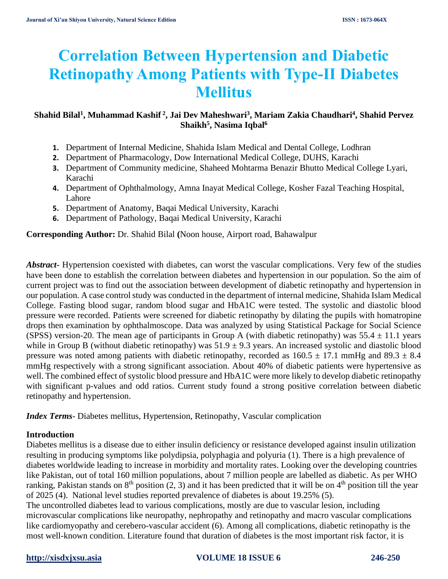# **Correlation Between Hypertension and Diabetic Retinopathy Among Patients with Type-II Diabetes Mellitus**

# **Shahid Bilal<sup>1</sup> , Muhammad Kashif <sup>2</sup> , Jai Dev Maheshwari<sup>3</sup> , Mariam Zakia Chaudhari<sup>4</sup> , Shahid Pervez Shaikh<sup>5</sup> , Nasima Iqbal<sup>6</sup>**

- **1.** Department of Internal Medicine, Shahida Islam Medical and Dental College, Lodhran
- **2.** Department of Pharmacology, Dow International Medical College, DUHS, Karachi
- **3.** Department of Community medicine, Shaheed Mohtarma Benazir Bhutto Medical College Lyari, Karachi
- **4.** Department of Ophthalmology, Amna Inayat Medical College, Kosher Fazal Teaching Hospital, Lahore
- **5.** Department of Anatomy, Baqai Medical University, Karachi
- **6.** Department of Pathology, Baqai Medical University, Karachi

**Corresponding Author:** Dr. Shahid Bilal **(**Noon house, Airport road, Bahawalpur

*Abstract***-** Hypertension coexisted with diabetes, can worst the vascular complications. Very few of the studies have been done to establish the correlation between diabetes and hypertension in our population. So the aim of current project was to find out the association between development of diabetic retinopathy and hypertension in our population. A case control study was conducted in the department of internal medicine, Shahida Islam Medical College. Fasting blood sugar, random blood sugar and HbA1C were tested. The systolic and diastolic blood pressure were recorded. Patients were screened for diabetic retinopathy by dilating the pupils with homatropine drops then examination by ophthalmoscope. Data was analyzed by using Statistical Package for Social Science (SPSS) version-20. The mean age of participants in Group A (with diabetic retinopathy) was  $55.4 \pm 11.1$  years while in Group B (without diabetic retinopathy) was  $51.9 \pm 9.3$  years. An increased systolic and diastolic blood pressure was noted among patients with diabetic retinopathy, recorded as  $160.5 \pm 17.1$  mmHg and  $89.3 \pm 8.4$ mmHg respectively with a strong significant association. About 40% of diabetic patients were hypertensive as well. The combined effect of systolic blood pressure and HbA1C were more likely to develop diabetic retinopathy with significant p-values and odd ratios. Current study found a strong positive correlation between diabetic retinopathy and hypertension.

*Index Terms*- Diabetes mellitus, Hypertension, Retinopathy, Vascular complication

### **Introduction**

Diabetes mellitus is a disease due to either insulin deficiency or resistance developed against insulin utilization resulting in producing symptoms like polydipsia, polyphagia and polyuria [\(1\)](#page-4-0). There is a high prevalence of diabetes worldwide leading to increase in morbidity and mortality rates. Looking over the developing countries like Pakistan, out of total 160 million populations, about 7 million people are labelled as diabetic. As per WHO ranking, Pakistan stands on  $8<sup>th</sup>$  position [\(2,](#page-4-1) [3\)](#page-4-2) and it has been predicted that it will be on  $4<sup>th</sup>$  position till the year of 2025 [\(4\)](#page-4-3). National level studies reported prevalence of diabetes is about 19.25% [\(5\)](#page-4-4).

The uncontrolled diabetes lead to various complications, mostly are due to vascular lesion, including microvascular complications like neuropathy, nephropathy and retinopathy and macro vascular complications like cardiomyopathy and cerebero-vascular accident [\(6\)](#page-4-5). Among all complications, diabetic retinopathy is the most well-known condition. Literature found that duration of diabetes is the most important risk factor, it is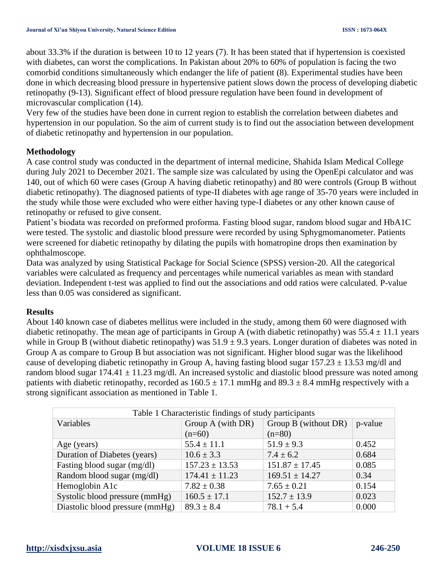about 33.3% if the duration is between 10 to 12 years [\(7\)](#page-4-6). It has been stated that if hypertension is coexisted with diabetes, can worst the complications. In Pakistan about 20% to 60% of population is facing the two comorbid conditions simultaneously which endanger the life of patient [\(8\)](#page-4-7). Experimental studies have been done in which decreasing blood pressure in hypertensive patient slows down the process of developing diabetic retinopathy [\(9-13\)](#page-4-8). Significant effect of blood pressure regulation have been found in development of microvascular complication [\(14\)](#page-4-9).

Very few of the studies have been done in current region to establish the correlation between diabetes and hypertension in our population. So the aim of current study is to find out the association between development of diabetic retinopathy and hypertension in our population.

### **Methodology**

A case control study was conducted in the department of internal medicine, Shahida Islam Medical College during July 2021 to December 2021. The sample size was calculated by using the OpenEpi calculator and was 140, out of which 60 were cases (Group A having diabetic retinopathy) and 80 were controls (Group B without diabetic retinopathy). The diagnosed patients of type-II diabetes with age range of 35-70 years were included in the study while those were excluded who were either having type-I diabetes or any other known cause of retinopathy or refused to give consent.

Patient's biodata was recorded on preformed proforma. Fasting blood sugar, random blood sugar and HbA1C were tested. The systolic and diastolic blood pressure were recorded by using Sphygmomanometer. Patients were screened for diabetic retinopathy by dilating the pupils with homatropine drops then examination by ophthalmoscope.

Data was analyzed by using Statistical Package for Social Science (SPSS) version-20. All the categorical variables were calculated as frequency and percentages while numerical variables as mean with standard deviation. Independent t-test was applied to find out the associations and odd ratios were calculated. P-value less than 0.05 was considered as significant.

### **Results**

About 140 known case of diabetes mellitus were included in the study, among them 60 were diagnosed with diabetic retinopathy. The mean age of participants in Group A (with diabetic retinopathy) was  $55.4 \pm 11.1$  years while in Group B (without diabetic retinopathy) was  $51.9 \pm 9.3$  years. Longer duration of diabetes was noted in Group A as compare to Group B but association was not significant. Higher blood sugar was the likelihood cause of developing diabetic retinopathy in Group A, having fasting blood sugar  $157.23 \pm 13.53$  mg/dl and random blood sugar  $174.41 \pm 11.23$  mg/dl. An increased systolic and diastolic blood pressure was noted among patients with diabetic retinopathy, recorded as  $160.5 \pm 17.1$  mmHg and  $89.3 \pm 8.4$  mmHg respectively with a strong significant association as mentioned in Table 1.

| Table 1 Characteristic findings of study participants |                    |                      |         |  |  |  |
|-------------------------------------------------------|--------------------|----------------------|---------|--|--|--|
| Variables                                             | Group A (with DR)  | Group B (without DR) | p-value |  |  |  |
|                                                       | $(n=60)$           | $(n=80)$             |         |  |  |  |
| Age (years)                                           | $55.4 \pm 11.1$    | $51.9 \pm 9.3$       | 0.452   |  |  |  |
| Duration of Diabetes (years)                          | $10.6 \pm 3.3$     | $7.4 \pm 6.2$        | 0.684   |  |  |  |
| Fasting blood sugar (mg/dl)                           | $157.23 \pm 13.53$ | $151.87 \pm 17.45$   | 0.085   |  |  |  |
| Random blood sugar (mg/dl)                            | $174.41 \pm 11.23$ | $169.51 \pm 14.27$   | 0.34    |  |  |  |
| Hemoglobin A1c                                        | $7.82 \pm 0.38$    | $7.65 \pm 0.21$      | 0.154   |  |  |  |
| Systolic blood pressure (mmHg)                        | $160.5 \pm 17.1$   | $152.7 \pm 13.9$     | 0.023   |  |  |  |
| Diastolic blood pressure (mmHg)                       | $89.3 \pm 8.4$     | $78.1 + 5.4$         | 0.000   |  |  |  |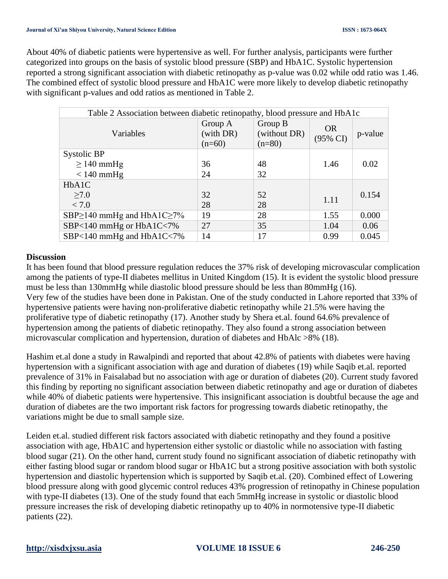About 40% of diabetic patients were hypertensive as well. For further analysis, participants were further categorized into groups on the basis of systolic blood pressure (SBP) and HbA1C. Systolic hypertension reported a strong significant association with diabetic retinopathy as p-value was 0.02 while odd ratio was 1.46. The combined effect of systolic blood pressure and HbA1C were more likely to develop diabetic retinopathy with significant p-values and odd ratios as mentioned in Table 2.

| Table 2 Association between diabetic retinopathy, blood pressure and HbA1c |                                  |                                     |                                  |         |  |
|----------------------------------------------------------------------------|----------------------------------|-------------------------------------|----------------------------------|---------|--|
| Variables                                                                  | Group A<br>(with DR)<br>$(n=60)$ | Group B<br>(without DR)<br>$(n=80)$ | <b>OR</b><br>$(95\% \text{ CI})$ | p-value |  |
| Systolic BP                                                                |                                  |                                     |                                  |         |  |
| $\geq$ 140 mmHg                                                            | 36                               | 48                                  | 1.46                             | 0.02    |  |
| $< 140$ mmHg                                                               | 24                               | 32                                  |                                  |         |  |
| HbA1C                                                                      |                                  |                                     |                                  |         |  |
| $\geq 7.0$                                                                 | 32                               | 52                                  | 1.11                             | 0.154   |  |
| < 7.0                                                                      | 28                               | 28                                  |                                  |         |  |
| SBP $\geq$ 140 mmHg and HbA1C $\geq$ 7%                                    | 19                               | 28                                  | 1.55                             | 0.000   |  |
| SBP<140 mmHg or HbA1C<7%                                                   | 27                               | 35                                  | 1.04                             | 0.06    |  |
| SBP<140 mmHg and HbA1C<7%                                                  | 14                               | 17                                  | 0.99                             | 0.045   |  |

### **Discussion**

It has been found that blood pressure regulation reduces the 37% risk of developing microvascular complication among the patients of type-II diabetes mellitus in United Kingdom [\(15\)](#page-4-10). It is evident the systolic blood pressure must be less than 130mmHg while diastolic blood pressure should be less than 80mmHg [\(16\)](#page-4-11). Very few of the studies have been done in Pakistan. One of the study conducted in Lahore reported that 33% of hypertensive patients were having non-proliferative diabetic retinopathy while 21.5% were having the proliferative type of diabetic retinopathy [\(17\)](#page-4-12). Another study by Shera et.al. found 64.6% prevalence of hypertension among the patients of diabetic retinopathy. They also found a strong association between microvascular complication and hypertension, duration of diabetes and HbAlc >8% [\(18\)](#page-4-13).

Hashim et.al done a study in Rawalpindi and reported that about 42.8% of patients with diabetes were having hypertension with a significant association with age and duration of diabetes [\(19\)](#page-4-14) while Saqib et.al. reported prevalence of 31% in Faisalabad but no association with age or duration of diabetes [\(20\)](#page-4-15). Current study favored this finding by reporting no significant association between diabetic retinopathy and age or duration of diabetes while 40% of diabetic patients were hypertensive. This insignificant association is doubtful because the age and duration of diabetes are the two important risk factors for progressing towards diabetic retinopathy, the variations might be due to small sample size.

Leiden et.al. studied different risk factors associated with diabetic retinopathy and they found a positive association with age, HbA1C and hypertension either systolic or diastolic while no association with fasting blood sugar [\(21\)](#page-4-16). On the other hand, current study found no significant association of diabetic retinopathy with either fasting blood sugar or random blood sugar or HbA1C but a strong positive association with both systolic hypertension and diastolic hypertension which is supported by Saqib et.al. [\(20\)](#page-4-15). Combined effect of Lowering blood pressure along with good glycemic control reduces 43% progression of retinopathy in Chinese population with type-II diabetes [\(13\)](#page-4-17). One of the study found that each 5mmHg increase in systolic or diastolic blood pressure increases the risk of developing diabetic retinopathy up to 40% in normotensive type-II diabetic patients [\(22\)](#page-4-18).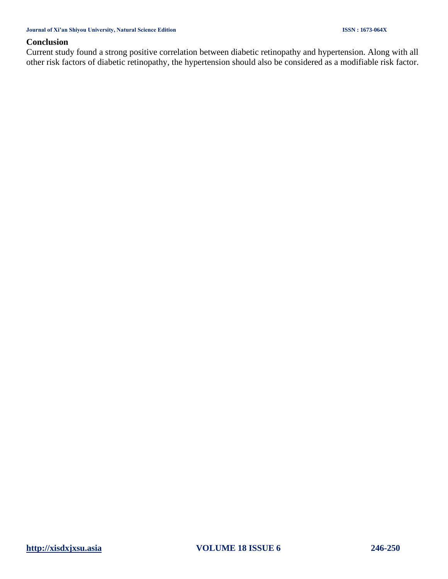#### **Conclusion**

Current study found a strong positive correlation between diabetic retinopathy and hypertension. Along with all other risk factors of diabetic retinopathy, the hypertension should also be considered as a modifiable risk factor.